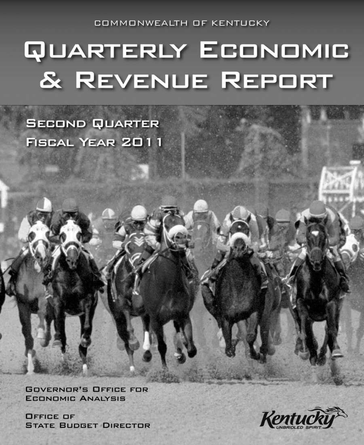COMMONWEALTH OF KENTUCKY

# QUARTERLY ECONOMIC & REVENUE REPORT

## **SECOND QUARTER FISCAL YEAR 2011**

**GOVERNOR'S OFFICE FOR ECONOMIC ANALYSIS** 

**OFFICE OF STATE BUDGET DIRECTOR** 

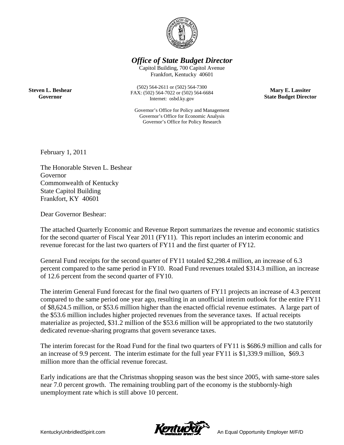

*Office of State Budget Director* 

Capitol Building, 700 Capitol Avenue Frankfort, Kentucky 40601

**Steven L. Beshear Governor** 

(502) 564-2611 or (502) 564-7300 FAX: (502) 564-7022 or (502) 564-6684 Internet: osbd.ky.gov

Governor's Office for Policy and Management Governor's Office for Economic Analysis Governor's Office for Policy Research

**Mary E. Lassiter State Budget Director** 

February 1, 2011

The Honorable Steven L. Beshear Governor Commonwealth of Kentucky State Capitol Building Frankfort, KY 40601

Dear Governor Beshear:

The attached Quarterly Economic and Revenue Report summarizes the revenue and economic statistics for the second quarter of Fiscal Year 2011 (FY11). This report includes an interim economic and revenue forecast for the last two quarters of FY11 and the first quarter of FY12.

General Fund receipts for the second quarter of FY11 totaled \$2,298.4 million, an increase of 6.3 percent compared to the same period in FY10. Road Fund revenues totaled \$314.3 million, an increase of 12.6 percent from the second quarter of FY10.

The interim General Fund forecast for the final two quarters of FY11 projects an increase of 4.3 percent compared to the same period one year ago, resulting in an unofficial interim outlook for the entire FY11 of \$8,624.5 million, or \$53.6 million higher than the enacted official revenue estimates. A large part of the \$53.6 million includes higher projected revenues from the severance taxes. If actual receipts materialize as projected, \$31.2 million of the \$53.6 million will be appropriated to the two statutorily dedicated revenue-sharing programs that govern severance taxes.

The interim forecast for the Road Fund for the final two quarters of FY11 is \$686.9 million and calls for an increase of 9.9 percent. The interim estimate for the full year FY11 is \$1,339.9 million, \$69.3 million more than the official revenue forecast.

Early indications are that the Christmas shopping season was the best since 2005, with same-store sales near 7.0 percent growth. The remaining troubling part of the economy is the stubbornly-high unemployment rate which is still above 10 percent.

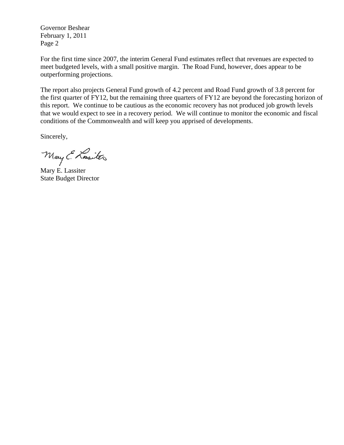Governor Beshear February 1, 2011 Page 2

For the first time since 2007, the interim General Fund estimates reflect that revenues are expected to meet budgeted levels, with a small positive margin. The Road Fund, however, does appear to be outperforming projections.

The report also projects General Fund growth of 4.2 percent and Road Fund growth of 3.8 percent for the first quarter of FY12, but the remaining three quarters of FY12 are beyond the forecasting horizon of this report. We continue to be cautious as the economic recovery has not produced job growth levels that we would expect to see in a recovery period. We will continue to monitor the economic and fiscal conditions of the Commonwealth and will keep you apprised of developments.

Sincerely,

May E. Lositer

Mary E. Lassiter State Budget Director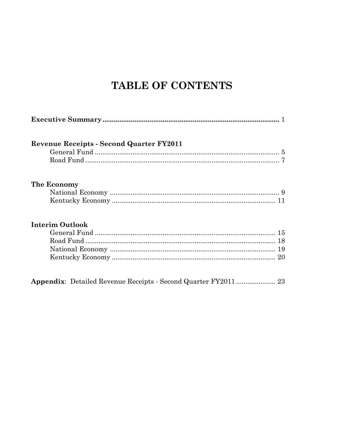### TABLE OF CONTENTS

| <b>Revenue Receipts - Second Quarter FY2011</b> |
|-------------------------------------------------|
| The Economy                                     |
| <b>Interim Outlook</b>                          |
|                                                 |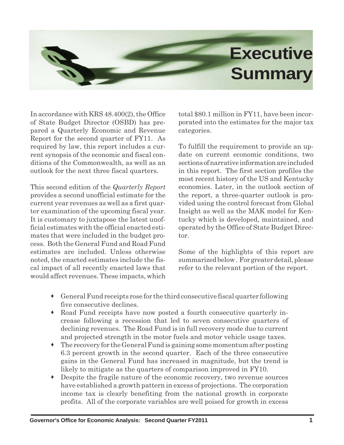

In accordance with KRS 48.400(2), the Office of State Budget Director (OSBD) has prepared a Quarterly Economic and Revenue Report for the second quarter of FY11. As required by law, this report includes a current synopsis of the economic and fiscal conditions of the Commonwealth, as well as an outlook for the next three fiscal quarters.

This second edition of the *Quarterly Report* provides a second unofficial estimate for the current year revenues as well as a first quarter examination of the upcoming fiscal year. It is customary to juxtapose the latest unofficial estimates with the official enacted estimates that were included in the budget process. Both the General Fund and Road Fund estimates are included. Unless otherwise noted, the enacted estimates include the fiscal impact of all recently enacted laws that would affect revenues. These impacts, which total \$80.1 million in FY11, have been incorporated into the estimates for the major tax categories.

To fulfill the requirement to provide an update on current economic conditions, two sections of narrative information are included in this report. The first section profiles the most recent history of the US and Kentucky economies. Later, in the outlook section of the report, a three-quarter outlook is provided using the control forecast from Global Insight as well as the MAK model for Kentucky which is developed, maintained, and operated by the Office of State Budget Director.

Some of the highlights of this report are summarized below . For greater detail, please refer to the relevant portion of the report.

- General Fund receipts rose for the third consecutive fiscal quarter following five consecutive declines.
- Road Fund receipts have now posted a fourth consecutive quarterly increase following a recession that led to seven consecutive quarters of declining revenues. The Road Fund is in full recovery mode due to current and projected strength in the motor fuels and motor vehicle usage taxes.
- The recovery for the General Fund is gaining some momentum after posting 6.3 percent growth in the second quarter. Each of the three consecutive gains in the General Fund has increased in magnitude, but the trend is likely to mitigate as the quarters of comparison improved in FY10.
- Despite the fragile nature of the economic recovery, two revenue sources have established a growth pattern in excess of projections. The corporation income tax is clearly benefiting from the national growth in corporate profits. All of the corporate variables are well poised for growth in excess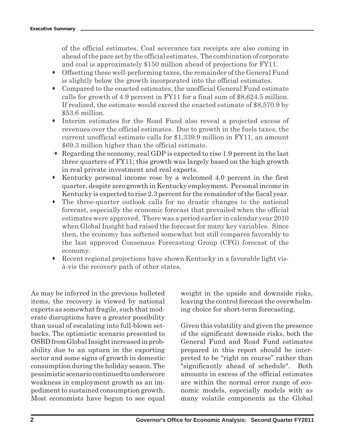of the official estimates. Coal severance tax receipts are also coming in ahead of the pace set by the official estimates. The combination of corporate and coal is approximately \$150 million ahead of projections for FY11.

- Offsetting these well-performing taxes, the remainder of the General Fund is slightly below the growth incorporated into the official estimates.
- Compared to the enacted estimates, the unofficial General Fund estimate calls for growth of 4.9 percent in FY11 for a final sum of \$8,624.5 million. If realized, the estimate would exceed the enacted estimate of \$8,570.9 by \$53.6 million.
- Interim estimates for the Road Fund also reveal a projected excess of revenues over the official estimates. Due to growth in the fuels taxes, the current unofficial estimate calls for \$1,339.9 million in FY11, an amount \$69.3 million higher than the official estimate.
- $\triangle$  Regarding the economy, real GDP is expected to rise 1.9 percent in the last three quarters of FY11; this growth was largely based on the high growth in real private investment and real exports.
- $\bullet$  Kentucky personal income rose by a welcomed 4.0 percent in the first quarter, despite zero growth in Kentucky employment. Personal income in Kentucky is expected to rise 2.3 percent for the remainder of the fiscal year.
- The three-quarter outlook calls for no drastic changes to the national forecast, especially the economic forecast that prevailed when the official estimates were approved. There was a period earlier in calendar year 2010 when Global Insight had raised the forecast for many key variables. Since then, the economy has softened somewhat but still compares favorably to the last approved Consensus Forecasting Group (CFG) forecast of the economy.
- Recent regional projections have shown Kentucky in a favorable light visà-vis the recovery path of other states.

As may be inferred in the previous bulleted items, the recovery is viewed by national experts as somewhat fragile, such that moderate disruptions have a greater possibility than usual of escalating into full-blown setbacks. The optimistic scenario presented to OSBD from Global Insight increased in probability due to an upturn in the exporting sector and some signs of growth in domestic consumption during the holiday season. The pessimistic scenario continued to underscore weakness in employment growth as an impediment to sustained consumption growth. Most economists have begun to see equal weight in the upside and downside risks, leaving the control forecast the overwhelming choice for short-term forecasting.

Given this volatility and given the presence of the significant downside risks, both the General Fund and Road Fund estimates prepared in this report should be interpreted to be "right on course" rather than "significantly ahead of schedule". Both amounts in excess of the official estimates are within the normal error range of economic models, especially models with as many volatile components as the Global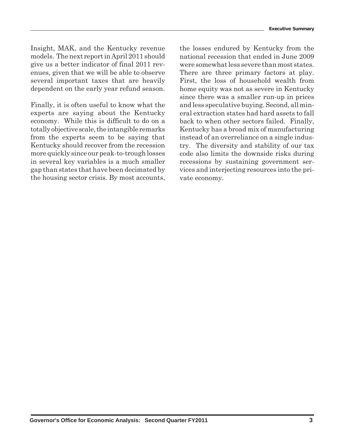give us a better indicator of final 2011 rev- were somewhat less severe than most states Insight, MAK, and the Kentucky revenue models. The next report in April 2011 should enues, given that we will be able to observe several important taxes that are heavily dependent on the early year refund season.

Finally, it is often useful to know what the experts are saying about the Kentucky economy. While this is difficult to do on a totally objective scale, the intangible remarks from the experts seem to be saying that Kentucky should recover from the recession more quickly since our peak-to-trough losses in several key variables is a much smaller gap than states that have been decimated by the housing sector crisis. By most accounts, the losses endured by Kentucky from the national recession that ended in June 2009 were somewhat less severe than most states. There are three primary factors at play. First, the loss of household wealth from home equity was not as severe in Kentucky since there was a smaller run-up in prices and less speculative buying. Second, all mineral extraction states had hard assets to fall back to when other sectors failed. Finally, Kentucky has a broad mix of manufacturing instead of an overreliance on a single industry. The diversity and stability of our tax code also limits the downside risks during recessions by sustaining government services and interjecting resources into the private economy.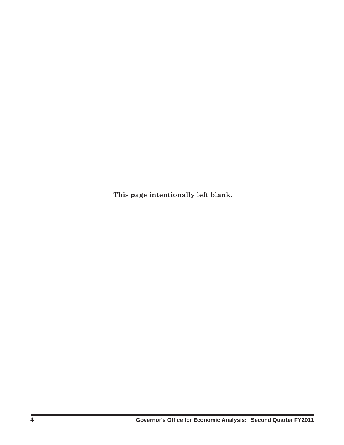**This page intentionally left blank.**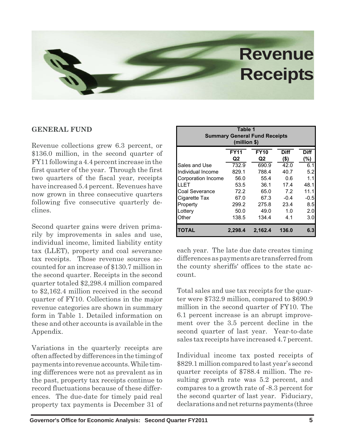

#### **GENERAL FUND**

Revenue collections grew 6.3 percent, or \$136.0 million, in the second quarter of FY11 following a 4.4 percent increase in the first quarter of the year. Through the first two quarters of the fiscal year, receipts have increased 5.4 percent. Revenues have now grown in three consecutive quarters following five consecutive quarterly declines.

Second quarter gains were driven primarily by improvements in sales and use, individual income, limited liability entity tax (LLET), property and coal severance tax receipts. Those revenue sources accounted for an increase of \$130.7 million in the second quarter. Receipts in the second quarter totaled \$2,298.4 million compared to \$2,162.4 million received in the second quarter of FY10. Collections in the major revenue categories are shown in summary form in Table 1. Detailed information on these and other accounts is available in the Appendix.

Variations in the quarterly receipts are often affected by differences in the timing of payments into revenue accounts. While timing differences were not as prevalent as in the past, property tax receipts continue to record fluctuations because of these differences. The due-date for timely paid real property tax payments is December 31 of

| Table 1<br><b>Summary General Fund Receipts</b><br>(million \$) |                   |                   |                        |             |  |  |  |  |  |
|-----------------------------------------------------------------|-------------------|-------------------|------------------------|-------------|--|--|--|--|--|
|                                                                 | <b>FY11</b><br>Q2 | <b>FY10</b><br>Q2 | <b>Diff</b><br>$($ \$) | Diff<br>(%) |  |  |  |  |  |
| Sales and Use                                                   | 732.9             | 690.9             | 42.0                   | 6.1         |  |  |  |  |  |
| Individual Income                                               | 829.1             | 788.4             | 40.7                   | 5.2         |  |  |  |  |  |
| <b>Corporation Income</b>                                       | 56.0              | 55.4              | 0.6                    | 1.1         |  |  |  |  |  |
| LLET                                                            | 53.5              | 36.1              | 17.4                   | 48.1        |  |  |  |  |  |
| <b>Coal Severance</b>                                           | 72.2              | 65.0              | 7.2                    | 11.1        |  |  |  |  |  |
| Cigarette Tax                                                   | 67.0              | 67.3              | $-0.4$                 | $-0.5$      |  |  |  |  |  |
| Property                                                        | 299.2             | 275.8             | 23.4                   | 8.5         |  |  |  |  |  |
| Lottery                                                         | 50.0              | 49.0              | 1.0                    | 2.0         |  |  |  |  |  |
| Other                                                           | 138.5             | 134.4             | 4.1                    | 3.0         |  |  |  |  |  |
| ITOTAL                                                          | 2,298.4           | 2,162.4           | 136.0                  | 6.3         |  |  |  |  |  |

each year. The late due date creates timing differences as payments are transferred from the county sheriffs' offices to the state account.

Total sales and use tax receipts for the quarter were \$732.9 million, compared to \$690.9 million in the second quarter of FY10. The 6.1 percent increase is an abrupt improvement over the 3.5 percent decline in the second quarter of last year. Year-to-date sales tax receipts have increased 4.7 percent.

Individual income tax posted receipts of \$829.1 million compared to last year's second quarter receipts of \$788.4 million. The resulting growth rate was 5.2 percent, and compares to a growth rate of -8.3 percent for the second quarter of last year. Fiduciary, declarations and net returns payments (three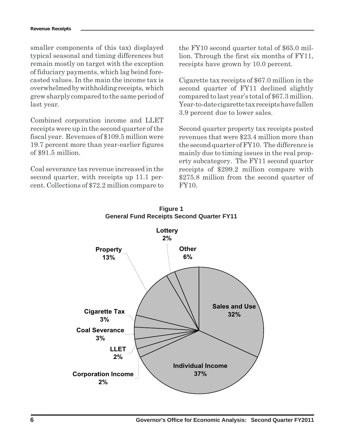smaller components of this tax) displayed typical seasonal and timing differences but remain mostly on target with the exception of fiduciary payments, which lag beind forecasted values. In the main the income tax is overwhelmed by withholding receipts, which grew sharply compared to the same period of last year.

Combined corporation income and LLET receipts were up in the second quarter of the fiscal year. Revenues of \$109.5 million were 19.7 percent more than year-earlier figures of \$91.5 million.

Coal severance tax revenue increased in the second quarter, with receipts up 11.1 percent. Collections of \$72.2 million compare to the FY10 second quarter total of \$65.0 million. Through the first six months of FY11, receipts have grown by 10.0 percent.

Cigarette tax receipts of \$67.0 million in the second quarter of FY11 declined slightly compared to last year's total of \$67.3 million. Year-to-date cigarette tax receipts have fallen 3.9 percent due to lower sales.

Second quarter property tax receipts posted revenues that were \$23.4 million more than the second quarter of FY10. The difference is mainly due to timing issues in the real property subcategory. The FY11 second quarter receipts of \$299.2 million compare with \$275.8 million from the second quarter of FY10.



**Figure 1 General Fund Receipts Second Quarter FY11**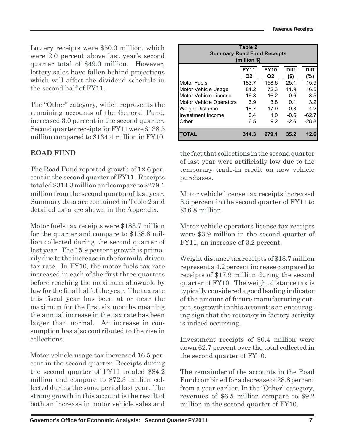quarter total of \$49.0 million. However, Lottery receipts were \$50.0 million, which were 2.0 percent above last year's second lottery sales have fallen behind projections which will affect the dividend schedule in the second half of FY11.

The "Other" category, which represents the remaining accounts of the General Fund, increased 3.0 percent in the second quarter. Second quarter receipts for FY11 were \$138.5 million compared to \$134.4 million in FY10.

#### **ROAD FUND**

The Road Fund reported growth of 12.6 percent in the second quarter of FY11. Receipts totaled \$314.3 million and compare to \$279.1 million from the second quarter of last year. Summary data are contained in Table 2 and detailed data are shown in the Appendix.

Motor fuels tax receipts were \$183.7 million for the quarter and compare to \$158.6 million collected during the second quarter of last year. The 15.9 percent growth is primarily due to the increase in the formula-driven tax rate. In FY10, the motor fuels tax rate increased in each of the first three quarters before reaching the maximum allowable by law for the final half of the year. The tax rate this fiscal year has been at or near the maximum for the first six months meaning the annual increase in the tax rate has been larger than normal. An increase in consumption has also contributed to the rise in collections.

Motor vehicle usage tax increased 16.5 percent in the second quarter. Receipts during the second quarter of FY11 totaled \$84.2 million and compare to \$72.3 million collected during the same period last year. The strong growth in this account is the result of both an increase in motor vehicle sales and

| Table 2<br><b>Summary Road Fund Receipts</b><br>(million \$) |                   |                   |                     |                    |  |  |  |  |  |  |
|--------------------------------------------------------------|-------------------|-------------------|---------------------|--------------------|--|--|--|--|--|--|
|                                                              | <b>FY11</b><br>Q2 | <b>FY10</b><br>Q2 | <b>Diff</b><br>(\$) | <b>Diff</b><br>(%) |  |  |  |  |  |  |
| <b>Motor Fuels</b>                                           | 183.7             | 158.6             | 25.1                | 15.9               |  |  |  |  |  |  |
| Motor Vehicle Usage                                          | 84.2              | 72.3              | 11.9                | 16.5               |  |  |  |  |  |  |
| Motor Vehicle License                                        | 16.8              | 16.2              | 0.6                 | 3.5                |  |  |  |  |  |  |
| <b>Motor Vehicle Operators</b>                               | 3.9               | 3.8               | 0.1                 | 3.2 <sub>l</sub>   |  |  |  |  |  |  |
| <b>Weight Distance</b>                                       | 18.7              | 17.9              | 0.8                 | 4.2                |  |  |  |  |  |  |
| Investment Income                                            | 0.4               | 1.0               | $-0.6$              | $-62.7$            |  |  |  |  |  |  |
| Other                                                        | 6.5               | 9.2               | $-2.6$              | $-28.8$            |  |  |  |  |  |  |
| <b>TOTAL</b>                                                 | 314.3             | 279.1             | 35.2                | 12.6               |  |  |  |  |  |  |

the fact that collections in the second quarter of last year were artificially low due to the temporary trade-in credit on new vehicle purchases.

Motor vehicle license tax receipts increased 3.5 percent in the second quarter of FY11 to \$16.8 million.

Motor vehicle operators license tax receipts were \$3.9 million in the second quarter of FY11, an increase of 3.2 percent.

Weight distance tax receipts of \$18.7 million represent a 4.2 percent increase compared to receipts of \$17.9 million during the second quarter of FY10. The weight distance tax is typically considered a good leading indicator of the amount of future manufacturing output, so growth in this account is an encouraging sign that the recovery in factory activity is indeed occurring.

Investment receipts of \$0.4 million were down 62.7 percent over the total collected in the second quarter of FY10.

The remainder of the accounts in the Road Fund combined for a decrease of 28.8 percent from a year earlier. In the "Other" category, revenues of \$6.5 million compare to \$9.2 million in the second quarter of FY10.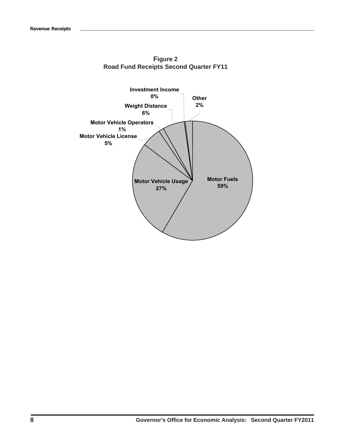

**Figure 2 Road Fund Receipts Second Quarter FY11**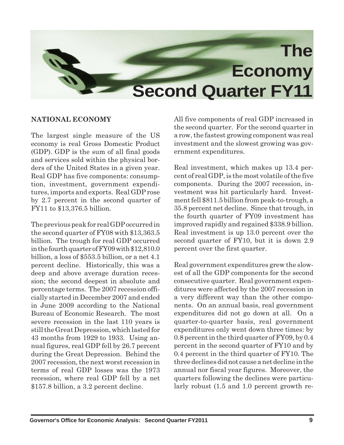

#### **NATIONAL ECONOMY**

The largest single measure of the US economy is real Gross Domestic Product (GDP). GDP is the sum of all final goods and services sold within the physical borders of the United States in a given year. Real GDP has five components: consumption, investment, government expenditures, imports and exports. Real GDP rose by 2.7 percent in the second quarter of FY11 to \$13,376.5 billion.

The previous peak for real GDP occurred in the second quarter of FY08 with \$13,363.5 billion. The trough for real GDP occurred in the fourth quarter of FY09 with \$12,810.0 billion, a loss of \$553.5 billion, or a net 4.1 percent decline. Historically, this was a deep and above average duration recession; the second deepest in absolute and percentage terms. The 2007 recession officially started in December 2007 and ended in June 2009 according to the National Bureau of Economic Research. The most severe recession in the last 110 years is still the Great Depression, which lasted for 43 months from 1929 to 1933. Using annual figures, real GDP fell by 26.7 percent during the Great Depression. Behind the 2007 recession, the next worst recession in terms of real GDP losses was the 1973 recession, where real GDP fell by a net \$157.8 billion, a 3.2 percent decline.

All five components of real GDP increased in the second quarter. For the second quarter in a row, the fastest growing component was real investment and the slowest growing was government expenditures.

Real investment, which makes up 13.4 percent of real GDP, is the most volatile of the five components. During the 2007 recession, investment was hit particularly hard. Investment fell \$811.5 billion from peak-to-trough, a 35.8 percent net decline. Since that trough, in the fourth quarter of FY09 investment has improved rapidly and regained \$338.9 billion. Real investment is up 13.0 percent over the second quarter of FY10, but it is down 2.9 percent over the first quarter.

Real government expenditures grew the slowest of all the GDP components for the second consecutive quarter. Real government expenditures were affected by the 2007 recession in a very different way than the other components. On an annual basis, real government expenditures did not go down at all. On a quarter-to-quarter basis, real government expenditures only went down three times: by 0.8 percent in the third quarter of FY09, by 0.4 percent in the second quarter of FY10 and by 0.4 percent in the third quarter of FY10. The three declines did not cause a net decline in the annual nor fiscal year figures. Moreover, the quarters following the declines were particularly robust (1.5 and 1.0 percent growth re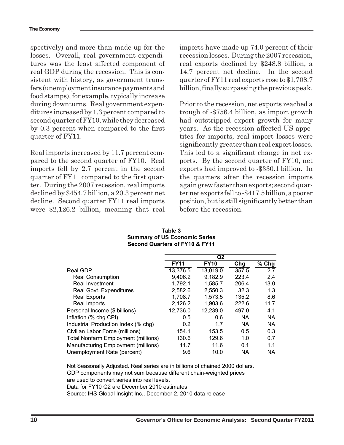spectively) and more than made up for the losses. Overall, real government expenditures was the least affected component of real GDP during the recession. This is consistent with history, as government transfers (unemployment insurance payments and food stamps), for example, typically increase during downturns. Real government expenditures increased by 1.3 percent compared to second quarter of FY10, while they decreased by 0.3 percent when compared to the first quarter of FY11.

Real imports increased by 11.7 percent compared to the second quarter of FY10. Real imports fell by 2.7 percent in the second quarter of FY11 compared to the first quarter. During the 2007 recession, real imports declined by \$454.7 billion, a 20.3 percent net decline. Second quarter FY11 real imports were \$2,126.2 billion, meaning that real imports have made up 74.0 percent of their recession losses. During the 2007 recession, real exports declined by \$248.8 billion, a 14.7 percent net decline. In the second quarter of FY11 real exports rose to \$1,708.7 billion, finally surpassing the previous peak.

Prior to the recession, net exports reached a trough of -\$756.4 billion, as import growth had outstripped export growth for many years. As the recession affected US appetites for imports, real import losses were significantly greater than real export losses. This led to a significant change in net exports. By the second quarter of FY10, net exports had improved to -\$330.1 billion. In the quarters after the recession imports again grew faster than exports; second quarter net exports fell to -\$417.5 billion, a poorer position, but is still significantly better than before the recession.

|                                            |             | Q2          |           |              |
|--------------------------------------------|-------------|-------------|-----------|--------------|
|                                            | <b>FY11</b> | <b>FY10</b> | Chg       | $\sqrt%$ Chg |
| Real GDP                                   | 13,376.5    | 13,019.0    | 357.5     | 2.7          |
| <b>Real Consumption</b>                    | 9,406.2     | 9,182.9     | 223.4     | 2.4          |
| Real Investment                            | 1,792.1     | 1,585.7     | 206.4     | 13.0         |
| Real Govt. Expenditures                    | 2,582.6     | 2,550.3     | 32.3      | 1.3          |
| Real Exports                               | 1,708.7     | 1,573.5     | 135.2     | 8.6          |
| Real Imports                               | 2,126.2     | 1,903.6     | 222.6     | 11.7         |
| Personal Income (\$ billions)              | 12,736.0    | 12,239.0    | 497.0     | 4.1          |
| Inflation (% chg CPI)                      | 0.5         | 0.6         | <b>NA</b> | NA.          |
| Industrial Production Index (% chg)        | 0.2         | 1.7         | <b>NA</b> | <b>NA</b>    |
| Civilian Labor Force (millions)            | 154.1       | 153.5       | 0.5       | 0.3          |
| <b>Total Nonfarm Employment (millions)</b> | 130.6       | 129.6       | 1.0       | 0.7          |
| Manufacturing Employment (millions)        | 11.7        | 11.6        | 0.1       | 1.1          |
| Unemployment Rate (percent)                | 9.6         | 10.0        | NА        | NA.          |

#### **Table 3 Summary of US Economic Series Second Quarters of FY10 & FY11**

Not Seasonally Adjusted. Real series are in billions of chained 2000 dollars. GDP components may not sum because different chain-weighted prices are used to convert series into real levels.

Data for FY10 Q2 are December 2010 estimates.

Source: IHS Global Insight Inc., December 2, 2010 data release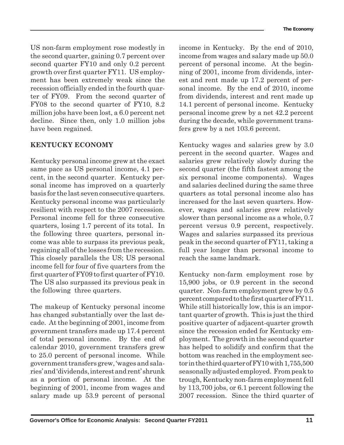**The Economy**

second quarter FY10 and only 0.2 percent percent of personal income. At the begin US non-farm employment rose modestly in the second quarter, gaining 0.7 percent over growth over first quarter FY11. US employment has been extremely weak since the recession officially ended in the fourth quarter of FY09. From the second quarter of FY08 to the second quarter of FY10, 8.2 million jobs have been lost, a 6.0 percent net decline. Since then, only 1.0 million jobs have been regained.

#### **KENTUCKY ECONOMY**

Kentucky personal income grew at the exact same pace as US personal income, 4.1 percent, in the second quarter. Kentucky personal income has improved on a quarterly basis for the last seven consecutive quarters. Kentucky personal income was particularly resilient with respect to the 2007 recession. Personal income fell for three consecutive quarters, losing 1.7 percent of its total. In the following three quarters, personal income was able to surpass its previous peak, regaining all of the losses from the recession. This closely parallels the US; US personal income fell for four of five quarters from the first quarter of FY09 to first quarter of FY10. The US also surpassed its previous peak in the following three quarters.

The makeup of Kentucky personal income has changed substantially over the last decade. At the beginning of 2001, income from government transfers made up 17.4 percent of total personal income. By the end of calendar 2010, government transfers grew to 25.0 percent of personal income. While government transfers grew, 'wages and salaries' and 'dividends, interest and rent' shrunk as a portion of personal income. At the beginning of 2001, income from wages and salary made up 53.9 percent of personal income in Kentucky. By the end of 2010, income from wages and salary made up 50.0 percent of personal income. At the beginning of 2001, income from dividends, interest and rent made up 17.2 percent of personal income. By the end of 2010, income from dividends, interest and rent made up 14.1 percent of personal income. Kentucky personal income grew by a net 42.2 percent during the decade, while government transfers grew by a net 103.6 percent.

Kentucky wages and salaries grew by 3.0 percent in the second quarter. Wages and salaries grew relatively slowly during the second quarter (the fifth fastest among the six personal income components). Wages and salaries declined during the same three quarters as total personal income also has increased for the last seven quarters. However, wages and salaries grew relatively slower than personal income as a whole, 0.7 percent versus 0.9 percent, respectively. Wages and salaries surpassed its previous peak in the second quarter of FY11, taking a full year longer than personal income to reach the same landmark.

Kentucky non-farm employment rose by 15,900 jobs, or 0.9 percent in the second quarter. Non-farm employment grew by 0.5 percent compared to the first quarter of FY11. While still historically low, this is an important quarter of growth. This is just the third positive quarter of adjacent-quarter growth since the recession ended for Kentucky employment. The growth in the second quarter has helped to solidify and confirm that the bottom was reached in the employment sector in the third quarter of FY10 with 1,755,500 seasonally adjusted employed. From peak to trough, Kentucky non-farm employment fell by 113,700 jobs, or 6.1 percent following the 2007 recession. Since the third quarter of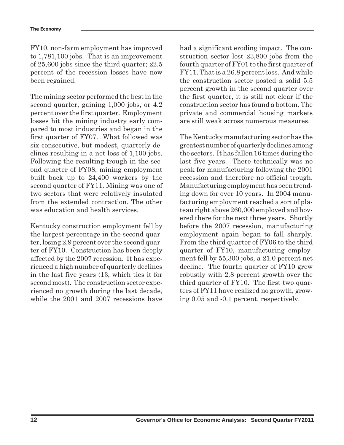FY10, non-farm employment has improved to 1,781,100 jobs. That is an improvement of 25,600 jobs since the third quarter; 22.5 percent of the recession losses have now been regained.

The mining sector performed the best in the second quarter, gaining 1,000 jobs, or 4.2 percent over the first quarter. Employment losses hit the mining industry early compared to most industries and began in the first quarter of FY07. What followed was six consecutive, but modest, quarterly declines resulting in a net loss of 1,100 jobs. Following the resulting trough in the second quarter of FY08, mining employment built back up to 24,400 workers by the second quarter of FY11. Mining was one of two sectors that were relatively insulated from the extended contraction. The other was education and health services.

Kentucky construction employment fell by the largest percentage in the second quarter, losing 2.9 percent over the second quarter of FY10. Construction has been deeply affected by the 2007 recession. It has experienced a high number of quarterly declines in the last five years (13, which ties it for second most). The construction sector experienced no growth during the last decade, while the 2001 and 2007 recessions have had a significant eroding impact. The construction sector lost 23,800 jobs from the fourth quarter of FY01 to the first quarter of FY11. That is a 26.8 percent loss. And while the construction sector posted a solid 5.5 percent growth in the second quarter over the first quarter, it is still not clear if the construction sector has found a bottom. The private and commercial housing markets are still weak across numerous measures.

The Kentucky manufacturing sector has the greatest number of quarterly declines among the sectors. It has fallen 16 times during the last five years. There technically was no peak for manufacturing following the 2001 recession and therefore no official trough. Manufacturing employment has been trending down for over 10 years. In 2004 manufacturing employment reached a sort of plateau right above 260,000 employed and hovered there for the next three years. Shortly before the 2007 recession, manufacturing employment again began to fall sharply. From the third quarter of FY06 to the third quarter of FY10, manufacturing employment fell by 55,300 jobs, a 21.0 percent net decline. The fourth quarter of FY10 grew robustly with 2.8 percent growth over the third quarter of FY10. The first two quarters of FY11 have realized no growth, growing 0.05 and -0.1 percent, respectively.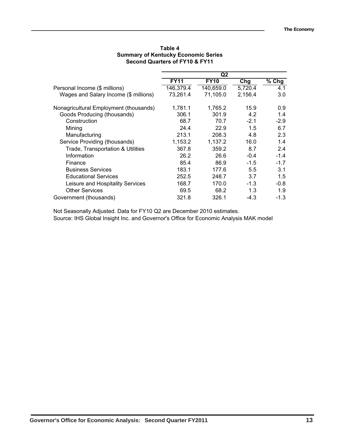|                                        | Q <sub>2</sub> |             |         |         |  |  |
|----------------------------------------|----------------|-------------|---------|---------|--|--|
|                                        | <b>FY11</b>    | <b>FY10</b> | Chg     | $%$ Chg |  |  |
| Personal Income (\$ millions)          | 146,379.4      | 140,659.0   | 5,720.4 | 4.1     |  |  |
| Wages and Salary Income (\$ millions)  | 73,261.4       | 71,105.0    | 2,156.4 | 3.0     |  |  |
| Nonagricultural Employment (thousands) | 1,781.1        | 1,765.2     | 15.9    | 0.9     |  |  |
| Goods Producing (thousands)            | 306.1          | 301.9       | 4.2     | 1.4     |  |  |
| Construction                           | 68.7           | 70.7        | $-2.1$  | $-2.9$  |  |  |
| Mining                                 | 24.4           | 22.9        | 1.5     | 6.7     |  |  |
| Manufacturing                          | 213.1          | 208.3       | 4.8     | 2.3     |  |  |
| Service Providing (thousands)          | 1,153.2        | 1,137.2     | 16.0    | 1.4     |  |  |
| Trade, Transportation & Utilities      | 367.8          | 359.2       | 8.7     | 2.4     |  |  |
| Information                            | 26.2           | 26.6        | $-0.4$  | $-1.4$  |  |  |
| Finance                                | 85.4           | 86.9        | $-1.5$  | $-1.7$  |  |  |
| <b>Business Services</b>               | 183.1          | 177.6       | 5.5     | 3.1     |  |  |
| <b>Educational Services</b>            | 252.5          | 248.7       | 3.7     | $1.5\,$ |  |  |
| Leisure and Hospitality Services       | 168.7          | 170.0       | $-1.3$  | $-0.8$  |  |  |
| <b>Other Services</b>                  | 69.5           | 68.2        | 1.3     | 1.9     |  |  |
| Government (thousands)                 | 321.8          | 326.1       | $-4.3$  | $-1.3$  |  |  |

#### **Second Quarters of FY10 & FY11 Table 4 Summary of Kentucky Economic Series**

Not Seasonally Adjusted. Data for FY10 Q2 are December 2010 estimates.

Source: IHS Global Insight Inc. and Governor's Office for Economic Analysis MAK model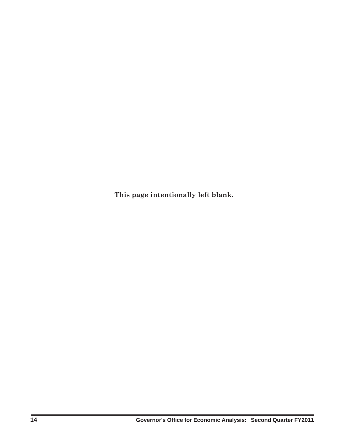**This page intentionally left blank.**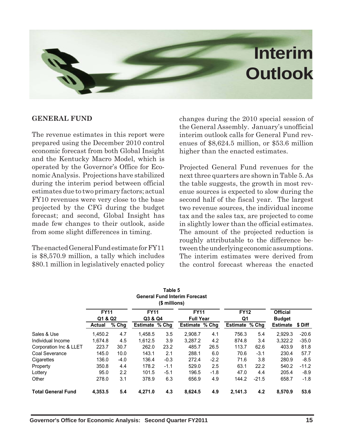

#### **GENERAL FUND**

The revenue estimates in this report were prepared using the December 2010 control economic forecast from both Global Insight and the Kentucky Macro Model, which is operated by the Governor's Office for Economic Analysis. Projections have stabilized during the interim period between official estimates due to two primary factors; actual FY10 revenues were very close to the base projected by the CFG during the budget forecast; and second, Global Insight has made few changes to their outlook, aside from some slight differences in timing.

The enacted General Fund estimate for FY11 is \$8,570.9 million, a tally which includes \$80.1 million in legislatively enacted policy changes during the 2010 special session of the General Assembly. January's unofficial interim outlook calls for General Fund revenues of \$8,624.5 million, or \$53.6 million higher than the enacted estimates.

Projected General Fund revenues for the next three quarters are shown in Table 5. As the table suggests, the growth in most revenue sources is expected to slow during the second half of the fiscal year. The largest two revenue sources, the individual income tax and the sales tax, are projected to come in slightly lower than the official estimates. The amount of the projected reduction is roughly attributable to the difference between the underlying economic assumptions. The interim estimates were derived from the control forecast whereas the enacted

| i apie p<br><b>General Fund Interim Forecast</b><br>(\$ millions) |                                                  |        |                |                                 |                |                   |                 |                                  |                 |         |
|-------------------------------------------------------------------|--------------------------------------------------|--------|----------------|---------------------------------|----------------|-------------------|-----------------|----------------------------------|-----------------|---------|
|                                                                   | <b>FY11</b><br><b>FY11</b><br>Q1 & Q2<br>Q3 & Q4 |        |                | <b>FY11</b><br><b>Full Year</b> |                | <b>FY12</b><br>Q1 |                 | <b>Official</b><br><b>Budget</b> |                 |         |
|                                                                   | Actual                                           | % Chg  | Estimate % Chg |                                 | Estimate % Chg |                   | <b>Estimate</b> | $%$ Chg                          | <b>Estimate</b> | \$ Diff |
| Sales & Use                                                       | 1.450.2                                          | 4.7    | 1.458.5        | 3.5                             | 2.908.7        | 4.1               | 756.3           | 5.4                              | 2.929.3         | $-20.6$ |
| Individual Income                                                 | 1.674.8                                          | 4.5    | 1.612.5        | 3.9                             | 3.287.2        | 4.2               | 874.8           | 3.4                              | 3.322.2         | $-35.0$ |
| Corporation Inc & LLET                                            | 223.7                                            | 30.7   | 262.0          | 23.2                            | 485.7          | 26.5              | 113.7           | 62.6                             | 403.9           | 81.8    |
| Coal Severance                                                    | 145.0                                            | 10.0   | 143.1          | 2.1                             | 288.1          | 6.0               | 70.6            | $-3.1$                           | 230.4           | 57.7    |
| Cigarettes                                                        | 136.0                                            | $-4.0$ | 136.4          | $-0.3$                          | 272.4          | $-2.2$            | 71.6            | 3.8                              | 280.9           | $-8.5$  |
| Property                                                          | 350.8                                            | 4.4    | 178.2          | $-1.1$                          | 529.0          | 2.5               | 63.1            | 22.2                             | 540.2           | $-11.2$ |
| Lottery                                                           | 95.0                                             | 2.2    | 101.5          | $-5.1$                          | 196.5          | $-1.8$            | 47.0            | 4.4                              | 205.4           | $-8.9$  |
| Other                                                             | 278.0                                            | 3.1    | 378.9          | 6.3                             | 656.9          | 4.9               | 144.2           | $-21.5$                          | 658.7           | $-1.8$  |
| <b>Total General Fund</b>                                         | 4,353.5                                          | 5.4    | 4.271.0        | 4.3                             | 8,624.5        | 4.9               | 2.141.3         | 4.2                              | 8.570.9         | 53.6    |

**Table 5**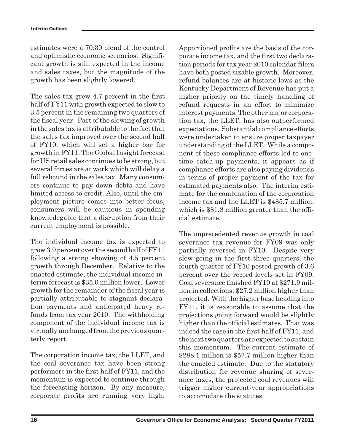estimates were a 70:30 blend of the control and optimistic economic scenarios. Significant growth is still expected in the income and sales taxes, but the magnitude of the growth has been slightly lowered.

The sales tax grew 4.7 percent in the first half of FY11 with growth expected to slow to 3.5 percent in the remaining two quarters of the fiscal year. Part of the slowing of growth in the sales tax is attributable to the fact that the sales tax improved over the second half of FY10, which will set a higher bar for growth in FY11. The Global Insight forecast for US retail sales continues to be strong, but several forces are at work which will delay a full rebound in the sales tax. Many consumers continue to pay down debts and have limited access to credit. Also, until the employment picture comes into better focus, consumers will be cautious in spending knowledegable that a disruption from their current employment is possible.

The individual income tax is expected to grow 3.9 percent over the second half of FY11 following a strong showing of 4.5 percent growth through December. Relative to the enacted estimate, the individual income interim forecast is \$35.0 million lower. Lower growth for the remainder of the fiscal year is partially attributable to stagnant declaration payments and anticipated heavy refunds from tax year 2010. The withholding component of the individual income tax is virtually unchanged from the previous quarterly report.

The corporation income tax, the LLET, and the coal severance tax have been strong performers in the first half of FY11, and the momentum is expected to continue through the forecasting horizon. By any measure, corporate profits are running very high.

Apportioned profits are the basis of the corporate income tax, and the first two declaration periods for tax year 2010 calendar filers have both posted sizable growth. Moreover, refund balances are at historic lows as the Kentucky Department of Revenue has put a higher priority on the timely handling of refund requests in an effort to minimize interest payments. The other major corporation tax, the LLET, has also outperformed expectations. Substantial compliance efforts were undertaken to ensure proper taxpayer understanding of the LLET. While a component of these compliance efforts led to onetime catch-up payments, it appears as if compliance efforts are also paying dividends in terms of proper payment of the tax for estimated payments also. The interim estimate for the combination of the corporation income tax and the LLET is \$485.7 million, which is \$81.8 million greater than the official estimate.

The unprecedented revenue growth in coal severance tax revenue for FY09 was only partially reversed in FY10. Despite very slow going in the first three quarters, the fourth quarter of FY10 posted growth of 3.6 percent over the record levels set in FY09. Coal severance finished FY10 at \$271.9 million in collections, \$27.2 million higher than projected. With the higher base heading into FY11, it is reasonable to assume that the projections going forward would be slightly higher than the official estimates. That was indeed the case in the first half of FY11, and the next two quarters are expected to sustain this momentum. The current estimate of \$288.1 million is \$57.7 million higher than the enacted estimate. Due to the statutory distribution for revenue sharing of severance taxes, the projected coal revenues will trigger higher current-year appropriations to accomodate the statutes.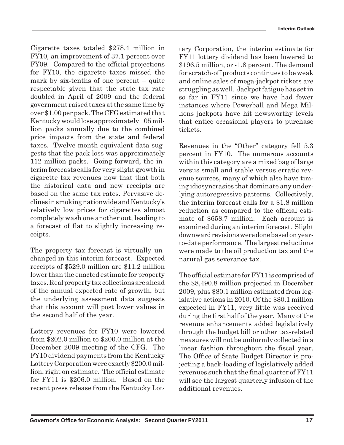**FY09.** Compared to the official projections  $$196.5$  million, or  $-1.8$  percent. The demand Cigarette taxes totaled \$278.4 million in FY10, an improvement of 37.1 percent over for FY10, the cigarette taxes missed the mark by six-tenths of one percent – quite respectable given that the state tax rate doubled in April of 2009 and the federal government raised taxes at the same time by over \$1.00 per pack. The CFG estimated that Kentucky would lose approximately 105 million packs annually due to the combined price impacts from the state and federal taxes. Twelve-month-equivalent data suggests that the pack loss was approximately 112 million packs. Going forward, the interim forecasts calls for very slight growth in cigarette tax revenues now that that both the historical data and new receipts are based on the same tax rates. Pervasive declines in smoking nationwide and Kentucky's relatively low prices for cigarettes almost completely wash one another out, leading to a forecast of flat to slightly increasing receipts.

The property tax forecast is virtually unchanged in this interim forecast. Expected receipts of \$529.0 million are \$11.2 million lower than the enacted estimate for property taxes. Real property tax collections are ahead of the annual expected rate of growth, but the underlying assessment data suggests that this account will post lower values in the second half of the year.

Lottery revenues for FY10 were lowered from \$202.0 million to \$200.0 million at the December 2009 meeting of the CFG. The FY10 dividend payments from the Kentucky Lottery Corporation were exactly \$200.0 million, right on estimate. The official estimate for FY11 is \$206.0 million. Based on the recent press release from the Kentucky Lottery Corporation, the interim estimate for FY11 lottery dividend has been lowered to \$196.5 million, or -1.8 percent. The demand for scratch-off products continues to be weak and online sales of mega-jackpot tickets are struggling as well. Jackpot fatigue has set in so far in FY11 since we have had fewer instances where Powerball and Mega Millions jackpots have hit newsworthy levels that entice occasional players to purchase tickets.

Revenues in the "Other" category fell 5.3 percent in FY10. The numerous accounts within this category are a mixed bag of large versus small and stable versus erratic revenue sources, many of which also have timing idiosyncrasies that dominate any underlying autoregressive patterns. Collectively, the interim forecast calls for a \$1.8 million reduction as compared to the official estimate of \$658.7 million. Each account is examined during an interim forecast. Slight downward revisions were done based on yearto-date performance. The largest reductions were made to the oil production tax and the natural gas severance tax.

The official estimate for FY11 is comprised of the \$8,490.8 million projected in December 2009, plus \$80.1 million estimated from legislative actions in 2010. Of the \$80.1 million expected in FY11, very little was received during the first half of the year. Many of the revenue enhancements added legislatively through the budget bill or other tax-related measures will not be uniformly collected in a linear fashion throughout the fiscal year. The Office of State Budget Director is projecting a back-loading of legislatively added revenues such that the final quarter of FY11 will see the largest quarterly infusion of the additional revenues.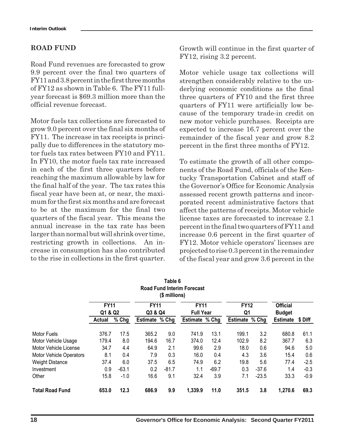#### **ROAD FUND**

Road Fund revenues are forecasted to grow 9.9 percent over the final two quarters of FY11 and 3.8 percent in the first three months of FY12 as shown in Table 6. The FY11 fullyear forecast is \$69.3 million more than the official revenue forecast.

Motor fuels tax collections are forecasted to grow 9.0 percent over the final six months of FY11. The increase in tax receipts is principally due to differences in the statutory motor fuels tax rates between FY10 and FY11. In FY10, the motor fuels tax rate increased in each of the first three quarters before reaching the maximum allowable by law for the final half of the year. The tax rates this fiscal year have been at, or near, the maximum for the first six months and are forecast to be at the maximum for the final two quarters of the fiscal year. This means the annual increase in the tax rate has been larger than normal but will shrink over time, restricting growth in collections. An increase in consumption has also contributed to the rise in collections in the first quarter.

Growth will continue in the first quarter of FY12, rising 3.2 percent.

Motor vehicle usage tax collections will strengthen considerably relative to the underlying economic conditions as the final three quarters of FY10 and the first three quarters of FY11 were artificially low because of the temporary trade-in credit on new motor vehicle purchases. Receipts are expected to increase 16.7 percent over the remainder of the fiscal year and grow 8.2 percent in the first three months of FY12.

To estimate the growth of all other components of the Road Fund, officials of the Kentucky Transportation Cabinet and staff of the Governor's Office for Economic Analysis assessed recent growth patterns and incorporated recent administrative factors that affect the patterns of receipts. Motor vehicle license taxes are forecasted to increase 2.1 percent in the final two quarters of FY11 and increase 0.6 percent in the first quarter of FY12. Motor vehicle operators' licenses are projected to rise 0.3 percent in the remainder of the fiscal year and grow 3.6 percent in the

| <b>Road Fund Interim Forecast</b><br>(\$ millions) |                        |         |                        |         |                                 |         |                   |         |                                  |         |
|----------------------------------------------------|------------------------|---------|------------------------|---------|---------------------------------|---------|-------------------|---------|----------------------------------|---------|
|                                                    | <b>FY11</b><br>Q1 & Q2 |         | <b>FY11</b><br>Q3 & Q4 |         | <b>FY11</b><br><b>Full Year</b> |         | <b>FY12</b><br>Q1 |         | <b>Official</b><br><b>Budget</b> |         |
|                                                    | Actual                 | $%$ Chg | Estimate % Chg         |         | Estimate % Chg                  |         | Estimate % Chg    |         | <b>Estimate</b>                  | \$ Diff |
| <b>Motor Fuels</b>                                 | 376.7                  | 17.5    | 365.2                  | 9.0     | 741.9                           | 13.1    | 199.1             | 3.2     | 680.8                            | 61.1    |
| Motor Vehicle Usage                                | 179.4                  | 8.0     | 194.6                  | 16.7    | 374.0                           | 12.4    | 102.9             | 8.2     | 367.7                            | 6.3     |
| Motor Vehicle License                              | 34.7                   | 4.4     | 64.9                   | 2.1     | 99.6                            | 2.9     | 18.0              | 0.6     | 94.6                             | 5.0     |
| <b>Motor Vehicle Operators</b>                     | 8.1                    | 0.4     | 7.9                    | 0.3     | 16.0                            | 0.4     | 4.3               | 3.6     | 15.4                             | 0.6     |
| <b>Weight Distance</b>                             | 37.4                   | 6.0     | 37.5                   | 6.5     | 74.9                            | 6.2     | 19.8              | 5.6     | 77.4                             | $-2.5$  |
| Investment                                         | 0.9                    | $-63.1$ | 0.2                    | $-81.7$ | 1.1                             | $-69.7$ | 0.3               | $-37.6$ | 1.4                              | $-0.3$  |
| Other                                              | 15.8                   | $-1.0$  | 16.6                   | 9.1     | 32.4                            | 3.9     | 7.1               | $-23.5$ | 33.3                             | $-0.9$  |
| <b>Total Road Fund</b>                             | 653.0                  | 12.3    | 686.9                  | 9.9     | 1,339.9                         | 11.0    | 351.5             | 3.8     | 1,270.6                          | 69.3    |

**Table 6**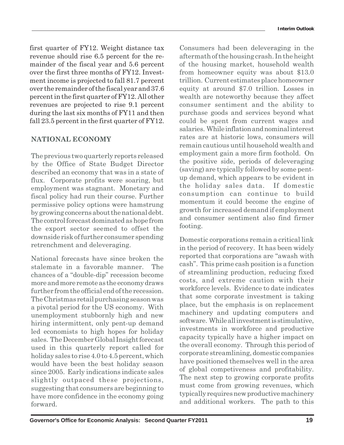mainder of the fiscal year and 5.6 percent of the housing market, household wealtl first quarter of FY12. Weight distance tax revenue should rise 6.5 percent for the reover the first three months of FY12. Investment income is projected to fall 81.7 percent over the remainder of the fiscal year and 37.6 percent in the first quarter of FY12. All other revenues are projected to rise 9.1 percent during the last six months of FY11 and then fall 23.5 percent in the first quarter of FY12.

#### **NATIONAL ECONOMY**

The previous two quarterly reports released by the Office of State Budget Director described an economy that was in a state of flux. Corporate profits were soaring, but employment was stagnant. Monetary and fiscal policy had run their course. Further permissive policy options were hamstrung by growing concerns about the national debt. The control forecast dominated as hope from the export sector seemed to offset the downside risk of further consumer spending retrenchment and deleveraging.

National forecasts have since broken the stalemate in a favorable manner. The chances of a "double-dip" recession become more and more remote as the economy draws further from the official end of the recession. The Christmas retail purchasing season was a pivotal period for the US economy. With unemployment stubbornly high and new hiring intermittent, only pent-up demand led economists to high hopes for holiday sales. The December Global Insight forecast used in this quarterly report called for holiday sales to rise 4.0 to 4.5 percent, which would have been the best holiday season since 2005. Early indications indicate sales slightly outpaced these projections, suggesting that consumers are beginning to have more confidence in the economy going forward.

Consumers had been deleveraging in the aftermath of the housing crash. In the height of the housing market, household wealth from homeowner equity was about \$13.0 trillion. Current estimates place homeowner equity at around \$7.0 trillion. Losses in wealth are noteworthy because they affect consumer sentiment and the ability to purchase goods and services beyond what could be spent from current wages and salaries. While inflation and nominal interest rates are at historic lows, consumers will remain cautious until household wealth and employment gain a more firm foothold. On the positive side, periods of deleveraging (saving) are typically followed by some pentup demand, which appears to be evident in the holiday sales data. If domestic consumption can continue to build momentum it could become the engine of growth for increased demand if employment and consumer sentiment also find firmer footing.

Domestic corporations remain a critical link in the period of recovery. It has been widely reported that corporations are "awash with cash". This prime cash position is a function of streamlining production, reducing fixed costs, and extreme caution with their workforce levels. Evidence to date indicates that some corporate investment is taking place, but the emphasis is on replacement machinery and updating computers and software. While all investment is stimulative, investments in workforce and productive capacity typically have a higher impact on the overall economy. Through this period of corporate streamlining, domestic companies have positioned themselves well in the area of global competiveness and profitability. The next step to growing corporate profits must come from growing revenues, which typically requires new productive machinery and additional workers. The path to this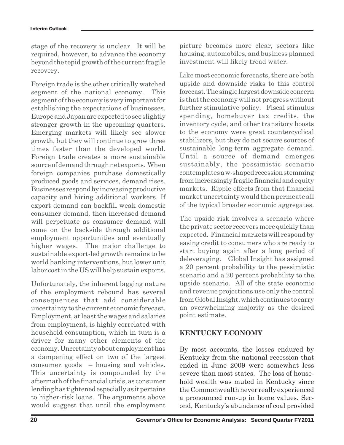stage of the recovery is unclear. It will be required, however, to advance the economy beyond the tepid growth of the current fragile recovery.

Foreign trade is the other critically watched segment of the national economy. This segment of the economy is very important for establishing the expectations of businesses. Europe and Japan are expected to see slightly stronger growth in the upcoming quarters. Emerging markets will likely see slower growth, but they will continue to grow three times faster than the developed world. Foreign trade creates a more sustainable source of demand through net exports. When foreign companies purchase domestically produced goods and services, demand rises. Businesses respond by increasing productive capacity and hiring additional workers. If export demand can backfill weak domestic consumer demand, then increased demand will perpetuate as consumer demand will come on the backside through additional employment opportunities and eventually higher wages. The major challenge to sustainable export-led growth remains to be world banking interventions, but lower unit labor cost in the US will help sustain exports.

Unfortunately, the inherent lagging nature of the employment rebound has several consequences that add considerable uncertainty to the current economic forecast. Employment, at least the wages and salaries from employment, is highly correlated with household consumption, which in turn is a driver for many other elements of the economy. Uncertainty about employment has a dampening effect on two of the largest consumer goods – housing and vehicles. This uncertainty is compounded by the aftermath of the financial crisis, as consumer lending has tightened especially as it pertains to higher-risk loans. The arguments above would suggest that until the employment picture becomes more clear, sectors like housing, automobiles, and business planned investment will likely tread water.

Like most economic forecasts, there are both upside and downside risks to this control forecast. The single largest downside concern is that the economy will not progress without further stimulative policy. Fiscal stimulus spending, homebuyer tax credits, the inventory cycle, and other transitory boosts to the economy were great countercyclical stabilizers, but they do not secure sources of sustainable long-term aggregate demand. Until a source of demand emerges sustainably, the pessimistic scenario contemplates a w-shaped recession stemming from increasingly fragile financial and equity markets. Ripple effects from that financial market uncertainty would then permeate all of the typical broader economic aggregates.

The upside risk involves a scenario where the private sector recovers more quickly than expected. Financial markets will respond by easing credit to consumers who are ready to start buying again after a long period of deleveraging. Global Insight has assigned a 20 percent probability to the pessimistic scenario and a 20 percent probability to the upside scenario. All of the state economic and revenue projections use only the control from Global Insight, which continues to carry an overwhelming majority as the desired point estimate.

#### **KENTUCKY ECONOMY**

By most accounts, the losses endured by Kentucky from the national recession that ended in June 2009 were somewhat less severe than most states. The loss of household wealth was muted in Kentucky since the Commonwealth never really experienced a pronounced run-up in home values. Second, Kentucky's abundance of coal provided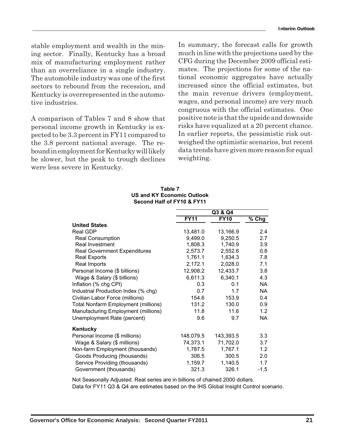mix of manufacturing employment rather CFG during the December 2009 official esti stable employment and wealth in the mining sector. Finally, Kentucky has a broad than an overreliance in a single industry. The automobile industry was one of the first sectors to rebound from the recession, and Kentucky is overrepresented in the automotive industries.

A comparison of Tables 7 and 8 show that personal income growth in Kentucky is expected to be 3.3 percent in FY11 compared to the 3.8 percent national average. The rebound in employment for Kentucky will likely be slower, but the peak to trough declines were less severe in Kentucky.

In summary, the forecast calls for growth much in line with the projections used by the CFG during the December 2009 official estimates. The projections for some of the national economic aggregates have actually increased since the official estimates, but the main revenue drivers (employment, wages, and personal income) are very much congruous with the official estimates. One positive note is that the upside and downside risks have equalized at a 20 percent chance. In earlier reports, the pessimistic risk outweighed the optimistic scenarios, but recent data trends have given more reason for equal weighting.

|                                            |             | Q3 & Q4     |           |
|--------------------------------------------|-------------|-------------|-----------|
|                                            | <b>FY11</b> | <b>FY10</b> | $%$ Chg   |
| <b>United States</b>                       |             |             |           |
| <b>Real GDP</b>                            | 13,481.0    | 13,166.9    | 2.4       |
| <b>Real Consumption</b>                    | 9,499.0     | 9,250.5     | 2.7       |
| <b>Real Investment</b>                     | 1,808.3     | 1,740.9     | 3.9       |
| <b>Real Government Expenditures</b>        | 2,573.7     | 2,552.6     | 0.8       |
| <b>Real Exports</b>                        | 1,761.1     | 1,634.3     | 7.8       |
| Real Imports                               | 2,172.1     | 2,028.0     | 7.1       |
| Personal Income (\$ billions)              | 12,908.2    | 12,433.7    | 3.8       |
| Wage & Salary (\$ billions)                | 6,611.3     | 6,340.1     | 4.3       |
| Inflation (% chg CPI)                      | 0.3         | 0.1         | <b>NA</b> |
| Industrial Production Index (% chg)        | 0.7         | 1.7         | <b>NA</b> |
| Civilian Labor Force (millions)            | 154.6       | 153.9       | 0.4       |
| <b>Total Nonfarm Employment (millions)</b> | 131.2       | 130.0       | 0.9       |
| Manufacturing Employment (millions)        | 11.8        | 11.6        | 1.2       |
| Unemployment Rate (percent)                | 9.6         | 9.7         | NA        |
| Kentucky                                   |             |             |           |
| Personal Income (\$ millions)              | 148,079.5   | 143,393.5   | 3.3       |
| Wage & Salary (\$ millions)                | 74,373.1    | 71,702.0    | 3.7       |
| Non-farm Employment (thousands)            | 1,787.5     | 1,767.1     | 1.2       |
| Goods Producing (thousands)                | 306.5       | 300.5       | 2.0       |
| Service Providing (thousands)              | 1,159.7     | 1,140.5     | 1.7       |
| Government (thousands)                     | 321.3       | 326.1       | $-1.5$    |

#### **Second Half of FY10 & FY11 Table 7 US and KY Economic Outlook**

Not Seasonally Adjusted. Real series are in billions of chained 2000 dollars. Data for FY11 Q3 & Q4 are estimates based on the IHS Global Insight Control scenario.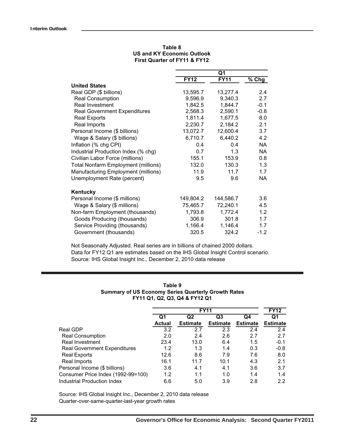|                                            | 1 11 3 t Quallei UI I I I I QI I I L |                   |                     |
|--------------------------------------------|--------------------------------------|-------------------|---------------------|
|                                            |                                      | Q1                |                     |
|                                            | <b>FY12</b>                          | $\overline{FY11}$ | $\overline{\%}$ Chg |
| <b>United States</b>                       |                                      |                   |                     |
| Real GDP (\$ billions)                     | 13,595.7                             | 13,277.4          | 2.4                 |
| <b>Real Consumption</b>                    | 9,596.9                              | 9,340.3           | 2.7                 |
| <b>Real Investment</b>                     | 1,842.5                              | 1,844.7           | $-0.1$              |
| <b>Real Government Expenditures</b>        | 2,568.3                              | 2,590.1           | $-0.8$              |
| <b>Real Exports</b>                        | 1,811.4                              | 1,677.5           | 8.0                 |
| Real Imports                               | 2,230.7                              | 2,184.2           | 2.1                 |
| Personal Income (\$ billions)              | 13,072.7                             | 12,600.4          | 3.7                 |
| Wage & Salary (\$ billions)                | 6,710.7                              | 6,440.2           | 4.2                 |
| Inflation (% chg CPI)                      | 0.4                                  | 0.4               | <b>NA</b>           |
| Industrial Production Index (% chg)        | 0.7                                  | 1.3               | <b>NA</b>           |
| Civilian Labor Force (millions)            | 155.1                                | 153.9             | 0.8                 |
| <b>Total Nonfarm Employment (millions)</b> | 132.0                                | 130.3             | 1.3                 |
| Manufacturing Employment (millions)        | 11.9                                 | 11.7              | 1.7                 |
| Unemployment Rate (percent)                | 9.5                                  | 9.6               | <b>NA</b>           |
| Kentucky                                   |                                      |                   |                     |
| Personal Income (\$ millions)              | 149,804.2                            | 144,586.7         | 3.6                 |
| Wage & Salary (\$ millions)                | 75,465.7                             | 72,240.1          | 4.5                 |
| Non-farm Employment (thousands)            | 1,793.8                              | 1,772.4           | 1.2                 |
| Goods Producing (thousands)                | 306.9                                | 301.8             | 1.7                 |
| Service Providing (thousands)              | 1,166.4                              | 1,146.4           | 1.7                 |
| Government (thousands)                     | 320.5                                | 324.2             | $-1.2$              |

#### **First Quarter of FY11 & FY12 Table 8 US and KY Economic Outlook**

Not Seasonally Adjusted. Real series are in billions of chained 2000 dollars. Data for FY12 Q1 are estimates based on the IHS Global Insight Control scenario. Source: IHS Global Insight Inc., December 2, 2010 data release

#### **Table 9 Summary of US Economy Series Quarterly Growth Rates FY11 Q1, Q2, Q3, Q4 & FY12 Q1**

|                                     |               |                 | <b>FY11</b>     |                 | <b>FY12</b>     |
|-------------------------------------|---------------|-----------------|-----------------|-----------------|-----------------|
|                                     | Q1            | Q2              | Q3              | Q4              | Q1              |
|                                     | <b>Actual</b> | <b>Estimate</b> | <b>Estimate</b> | <b>Estimate</b> | <b>Estimate</b> |
| Real GDP                            | 3.2           | 2.7             | 2.3             | 2.4             | 2.4             |
| <b>Real Consumption</b>             | 2.0           | 2.4             | 2.6             | 2.7             | 2.7             |
| Real Investment                     | 23.4          | 13.0            | 6.4             | 1.5             | $-0.1$          |
| <b>Real Government Expenditures</b> | 1.2           | 1.3             | 1.4             | 0.3             | $-0.8$          |
| <b>Real Exports</b>                 | 12.6          | 8.6             | 7.9             | 7.6             | 8.0             |
| Real Imports                        | 16.1          | 11.7            | 10.1            | 4.3             | 2.1             |
| Personal Income (\$ billions)       | 3.6           | 4.1             | 4.1             | 3.6             | 3.7             |
| Consumer Price Index (1992-99=100)  | 1.2           | 1.1             | 1.0             | 1.4             | 1.4             |
| Industrial Production Index         | 6.6           | 5.0             | 3.9             | 2.8             | 2.2             |
|                                     |               |                 |                 |                 |                 |

Source: IHS Global Insight Inc., December 2, 2010 data release Quarter-over-same-quarter-last-year growth rates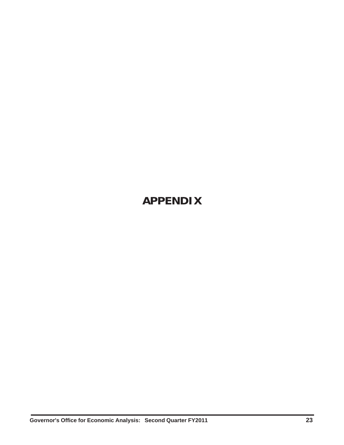## **APPENDIX**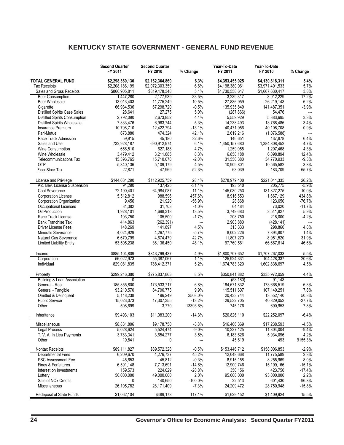#### **KENTUCKY STATE GOVERNMENT - GENERAL FUND REVENUE**

|                                                                            | <b>Second Quarter</b><br>FY 2011 | <b>Second Quarter</b><br>FY 2010 | % Change                 | Year-To-Date<br>FY 2011 | Year-To-Date<br>FY 2010 | % Change                 |
|----------------------------------------------------------------------------|----------------------------------|----------------------------------|--------------------------|-------------------------|-------------------------|--------------------------|
| <b>TOTAL GENERAL FUND</b>                                                  | \$2,298,360,130                  | \$2,162,364,860                  | 6.3%                     | \$4,353,455,925         | \$4,130,818,311         | 5.4%                     |
| Tax Receipts                                                               | \$2,208,186,199                  | \$2,072,303,359                  | 6.6%                     | \$4,198,380,061         | \$3,971,401,533         | 5.7%                     |
| Sales and Gross Receipts                                                   | \$860,905,811                    | \$819,478,348                    | 5.1%                     | \$1,730,558,647         | \$1.667.630.417         | 3.8%                     |
| <b>Beer Consumption</b>                                                    | 1,447,280                        | 2,177,939                        | $-33.5%$                 | 3,239,317               | 3,912,229               | $-17.2%$                 |
| <b>Beer Wholesale</b>                                                      | 13,013,403                       | 11,775,249                       | 10.5%                    | 27,836,959              | 26,219,143              | 6.2%                     |
| Cigarette                                                                  | 66,934,536                       | 67,298,720                       | $-0.5%$                  | 135,935,849             | 141,487,351             | $-3.9%$                  |
| <b>Distilled Spirits Case Sales</b>                                        | 28,641                           | 27,275                           | 5.0%                     | (287, 866)              | 54,476                  | ---                      |
| <b>Distilled Spirits Consumption</b><br><b>Distilled Spirits Wholesale</b> | 2,792,090<br>7,333,476           | 2,673,852<br>6,963,744           | 4.4%<br>5.3%             | 5,559,929<br>14,238,493 | 5,383,695<br>13,768,486 | 3.3%<br>3.4%             |
| Insurance Premium                                                          | 10,798,710                       | 12,422,794                       | $-13.1%$                 | 40,471,956              | 40,108,708              | 0.9%                     |
| Pari-Mutuel                                                                | 673,880                          | 474,324                          | 42.1%                    | 2,619,216               | (1,076,588)             | $\overline{\phantom{a}}$ |
| Race Track Admission                                                       | 59,915                           | 45,180                           | 32.6%                    | 146,651                 | 137,878                 | 6.4%                     |
| Sales and Use                                                              | 732,928,187                      | 690.912.974                      | 6.1%                     | 1,450,157,680           | 1,384,808,452           | 4.7%                     |
| Wine Consumption                                                           | 656,510                          | 627,188                          | 4.7%                     | 1,259,055               | 1,207,468               | 4.3%                     |
| Wine Wholesale                                                             | 3,479,412                        | 3,211,885                        | 8.3%                     | 6,858,188               | 6,098,894               | 12.4%                    |
| <b>Telecommunications Tax</b>                                              | 15,396,765                       | 15,710,078                       | $-2.0%$                  | 31,550,380              | 34,770,933              | $-9.3%$                  |
| <b>OTP</b>                                                                 | 5,340,136                        | 5,109,179                        | 4.5%                     | 10,909,801              | 10,565,582              | 3.3%                     |
| Floor Stock Tax                                                            | 22,871                           | 47,969                           | $-52.3%$                 | 63,039                  | 183,709                 | $-65.7%$                 |
|                                                                            |                                  |                                  |                          |                         |                         |                          |
| License and Privilege                                                      | \$144,634,290                    | \$112,925,759                    | 28.1%                    | \$278,979,400           | \$221,041,335           | 26.2%                    |
| Alc. Bev. License Suspension                                               | 94.290                           | 137,425                          | $-31.4%$                 | 193,540                 | 205,775                 | $-5.9%$                  |
| Coal Severance                                                             | 72,190,401                       | 64,984,087                       | 11.1%                    | 145,030,253             | 131,827,275             | 10.0%                    |
| <b>Corporation License</b>                                                 | 5.512.812                        | 988,596                          | 457.6%<br>$-56.9%$       | 8,916,553               | 1,667,129               | 434.8%                   |
| Corporation Organization<br>Occupational Licenses                          | 9,456<br>31,382                  | 21,920<br>31,703                 | $-1.0%$                  | 28,868<br>64,484        | 123,650<br>73,020       | $-76.7%$<br>$-11.7%$     |
| Oil Production                                                             | 1,928,101                        | 1,698,318                        | 13.5%                    | 3,749,683               | 3,541,827               | 5.9%                     |
| Race Track License                                                         | 103,750                          | 105,500                          | $-1.7%$                  | 208,750                 | 218,000                 | $-4.2%$                  |
| <b>Bank Franchise Tax</b>                                                  | 414,863                          | (262, 391)                       | ---                      | 2,903,880               | (428, 141)              | ---                      |
| <b>Driver License Fees</b>                                                 | 148,269                          | 141,897                          | 4.5%                     | 313,333                 | 298,860                 | 4.8%                     |
| <b>Minerals Severance</b>                                                  | 4,024,929                        | 4,267,775                        | $-5.7%$                  | 8,002,226               | 7,894,807               | 1.4%                     |
| Natural Gas Severance                                                      | 6,670,799                        | 4,674,479                        | 42.7%                    | 11,807,270              | 8,951,520               | 31.9%                    |
| <b>Limited Liability Entity</b>                                            | 53,505,238                       | 36,136,450                       | 48.1%                    | 97,760,561              | 66,667,614              | 46.6%                    |
| Income                                                                     | \$885,104,809                    | \$843,799,437                    | 4.9%                     | \$1,800,707,652         | \$1,707,267,033         | 5.5%                     |
| Corporation                                                                | 56,022,973                       | 55,387,067                       | 1.1%                     | 125,924,331             | 104,428,337             | 20.6%                    |
| Individual                                                                 | 829,081,835                      | 788,412,371                      | 5.2%                     | 1,674,783,320           | 1,602,838,697           | 4.5%                     |
| Property                                                                   | \$299,216,380                    | \$275,837,863                    | 8.5%                     | \$350,841,882           | \$335,972,059           | 4.4%                     |
| Building & Loan Association                                                | $\Omega$                         | $\mathbf{0}$                     | $\overline{\phantom{a}}$ | (53, 180)               | 91.143                  | $\overline{a}$           |
| General - Real                                                             | 185,355,800                      | 173,533,717                      | 6.8%                     | 184,671,832             | 173,668,519             | 6.3%                     |
| General - Tangible                                                         | 93,210,570                       | 84,796,773                       | 9.9%                     | 115,511,607             | 107,140,251             | 7.8%                     |
| Omitted & Delinquent                                                       | 5,118,238                        | 196,249                          | 2508.0%                  | 20,433,744              | 13,552,140              | 50.8%                    |
| <b>Public Service</b>                                                      | 15,023,073                       | 17,307,355                       | $-13.2%$                 | 29,532,705              | 40,829,052              | $-27.7%$                 |
| Other                                                                      | 508.699                          | 3,770                            | 13393.6%                 | 745,176                 | 690,953                 | 7.8%                     |
| Inheritance                                                                | \$9,493,103                      | \$11,083,200                     | $-14.3%$                 | \$20,826,110            | \$22,252,097            | $-6.4%$                  |
| Miscellaneous                                                              | \$8,831,806                      | \$9,178,750                      | $-3.8%$                  | \$16,466,369            | \$17,238,593            | $-4.5%$                  |
| <b>Legal Process</b>                                                       | 5,028,624                        | 5,524,474                        | $-9.0%$                  | 10,237,125              | 11,304,004              | $-9.4%$                  |
| T. V. A. In Lieu Payments                                                  | 3,783,341                        | 3,654,277                        | 3.5%                     | 6,183,626               | 5,934,096               | 4.2%                     |
| Other                                                                      | 19,841                           | 0                                | ---                      | 45,619                  | 493                     | 9155.3%                  |
| Nontax Receipts                                                            | \$89,111,827                     | \$89,572,328                     | $-0.5%$                  | \$153,446,712           | \$158,006,853           | $-2.9%$                  |
| <b>Departmental Fees</b>                                                   | 6,209,670                        | 4,276,737                        | 45.2%                    | 12,048,668              | 11,775,589              | 2.3%                     |
| <b>PSC Assessment Fee</b>                                                  | 45,653                           | 45,812                           | $-0.3%$                  | 8,915,158               | 8,255,969               | 8.0%                     |
| Fines & Forfeitures                                                        | 6,591,148                        | 7,713,691                        | $-14.6%$                 | 12,900,746              | 15,199,166              | $-15.1%$                 |
| Interest on Investments                                                    | 159,573                          | 224,029                          | $-28.8%$                 | 350,156                 | 423,750                 | $-17.4%$                 |
| Lottery                                                                    | 50,000,000                       | 49,000,000                       | 2.0%                     | 95,000,000              | 93,000,000              | 2.2%                     |
| Sale of NO <sub>x</sub> Credits                                            | 0                                | 140,650                          | $-100.0%$                | 22,513                  | 601,430                 | $-96.3%$                 |
| Miscellaneous                                                              | 26,105,782                       | 28,171,409                       | $-7.3%$                  | 24,209,472              | 28,750,948              | $-15.8%$                 |
| Redeposit of State Funds                                                   | \$1,062,104                      | \$489,173                        | 117.1%                   | \$1,629,152             | \$1,409,924             | 15.5%                    |